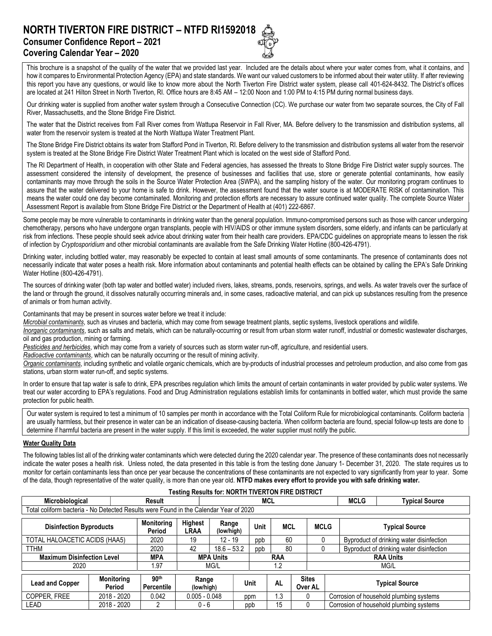# NORTH TIVERTON FIRE DISTRICT – NTFD RI1592018 Consumer Confidence Report – 2021 Covering Calendar Year – 2020

This brochure is a snapshot of the quality of the water that we provided last year. Included are the details about where your water comes from, what it contains, and how it compares to Environmental Protection Agency (EPA) and state standards. We want our valued customers to be informed about their water utility. If after reviewing this report you have any questions, or would like to know more about the North Tiverton Fire District water system, please call 401-624-8432. The District's offices are located at 241 Hilton Street in North Tiverton, RI. Office hours are 8:45 AM – 12:00 Noon and 1:00 PM to 4:15 PM during normal business days.

Our drinking water is supplied from another water system through a Consecutive Connection (CC). We purchase our water from two separate sources, the City of Fall River, Massachusetts, and the Stone Bridge Fire District.

The water that the District receives from Fall River comes from Wattupa Reservoir in Fall River, MA. Before delivery to the transmission and distribution systems, all water from the reservoir system is treated at the North Wattupa Water Treatment Plant.

The Stone Bridge Fire District obtains its water from Stafford Pond in Tiverton, RI. Before delivery to the transmission and distribution systems all water from the reservoir system is treated at the Stone Bridge Fire District Water Treatment Plant which is located on the west side of Stafford Pond.

The RI Department of Health, in cooperation with other State and Federal agencies, has assessed the threats to Stone Bridge Fire District water supply sources. The assessment considered the intensity of development, the presence of businesses and facilities that use, store or generate potential contaminants, how easily contaminants may move through the soils in the Source Water Protection Area (SWPA), and the sampling history of the water. Our monitoring program continues to assure that the water delivered to your home is safe to drink. However, the assessment found that the water source is at MODERATE RISK of contamination. This means the water could one day become contaminated. Monitoring and protection efforts are necessary to assure continued water quality. The complete Source Water Assessment Report is available from Stone Bridge Fire District or the Department of Health at (401) 222-6867.

Some people may be more vulnerable to contaminants in drinking water than the general population. Immuno-compromised persons such as those with cancer undergoing chemotherapy, persons who have undergone organ transplants, people with HIV/AIDS or other immune system disorders, some elderly, and infants can be particularly at risk from infections. These people should seek advice about drinking water from their health care providers. EPA/CDC guidelines on appropriate means to lessen the risk of infection by Cryptosporidium and other microbial contaminants are available from the Safe Drinking Water Hotline (800-426-4791).

Drinking water, including bottled water, may reasonably be expected to contain at least small amounts of some contaminants. The presence of contaminants does not necessarily indicate that water poses a health risk. More information about contaminants and potential health effects can be obtained by calling the EPA's Safe Drinking Water Hotline (800-426-4791).

The sources of drinking water (both tap water and bottled water) included rivers, lakes, streams, ponds, reservoirs, springs, and wells. As water travels over the surface of the land or through the ground, it dissolves naturally occurring minerals and, in some cases, radioactive material, and can pick up substances resulting from the presence of animals or from human activity.

Contaminants that may be present in sources water before we treat it include:

Microbial contaminants, such as viruses and bacteria, which may come from sewage treatment plants, septic systems, livestock operations and wildlife.

Inorganic contaminants, such as salts and metals, which can be naturally-occurring or result from urban storm water runoff, industrial or domestic wastewater discharges, oil and gas production, mining or farming.

Pesticides and herbicides, which may come from a variety of sources such as storm water run-off, agriculture, and residential users.

Radioactive contaminants, which can be naturally occurring or the result of mining activity.

Organic contaminants, including synthetic and volatile organic chemicals, which are by-products of industrial processes and petroleum production, and also come from gas stations, urban storm water run-off, and septic systems.

In order to ensure that tap water is safe to drink, EPA prescribes regulation which limits the amount of certain contaminants in water provided by public water systems. We treat our water according to EPA's regulations. Food and Drug Administration regulations establish limits for contaminants in bottled water, which must provide the same protection for public health.

Our water system is required to test a minimum of 10 samples per month in accordance with the Total Coliform Rule for microbiological contaminants. Coliform bacteria are usually harmless, but their presence in water can be an indication of disease-causing bacteria. When coliform bacteria are found, special follow-up tests are done to determine if harmful bacteria are present in the water supply. If this limit is exceeded, the water supplier must notify the public.

#### Water Quality Data

The following tables list all of the drinking water contaminants which were detected during the 2020 calendar year. The presence of these contaminants does not necessarily indicate the water poses a health risk. Unless noted, the data presented in this table is from the testing done January 1- December 31, 2020. The state requires us to monitor for certain contaminants less than once per year because the concentrations of these contaminants are not expected to vary significantly from year to year. Some of the data, though representative of the water quality, is more than one year old. NTFD makes every effort to provide you with safe drinking water.

|                                                                                       |                             |                                | <b>IBSILIY NESULS IVI. NON IT TIVENTUN FINE DISTNIUT</b> |                     |      |             |                |                         |             |                       |                                          |  |
|---------------------------------------------------------------------------------------|-----------------------------|--------------------------------|----------------------------------------------------------|---------------------|------|-------------|----------------|-------------------------|-------------|-----------------------|------------------------------------------|--|
| Microbiological<br>Result                                                             |                             |                                |                                                          |                     |      | MCL         |                |                         | <b>MCLG</b> | <b>Typical Source</b> |                                          |  |
| Total coliform bacteria - No Detected Results were Found in the Calendar Year of 2020 |                             |                                |                                                          |                     |      |             |                |                         |             |                       |                                          |  |
| <b>Disinfection Byproducts</b>                                                        |                             | <b>Monitoring</b><br>Period    | <b>Highest</b><br><b>LRAA</b>                            | Range<br>(low/high) |      | <b>Unit</b> | MCL            |                         | <b>MCLG</b> |                       | <b>Typical Source</b>                    |  |
| TOTAL HALOACETIC ACIDS (HAA5)                                                         |                             | 2020                           | 19                                                       | $12 - 19$           |      | ppb         | 60             |                         | $\Omega$    |                       | Byproduct of drinking water disinfection |  |
| <b>TTHM</b>                                                                           |                             | 2020                           | 42                                                       | $18.6 - 53.2$       |      | ppb         | 80             |                         | 0           |                       | Byproduct of drinking water disinfection |  |
| <b>Maximum Disinfection Level</b>                                                     |                             | <b>MPA</b>                     | <b>MPA Units</b>                                         |                     |      | <b>RAA</b>  |                |                         |             | <b>RAA Units</b>      |                                          |  |
| 2020                                                                                  |                             | 1.97                           | MG/L                                                     |                     |      | 1.2         |                | MG/L                    |             |                       |                                          |  |
| <b>Lead and Copper</b>                                                                | <b>Monitoring</b><br>Period | 90 <sup>th</sup><br>Percentile | Range<br>(low/high)                                      |                     | Unit |             | AL             | <b>Sites</b><br>Over AL |             | <b>Typical Source</b> |                                          |  |
| COPPER, FREE                                                                          | 2018 - 2020                 | 0.042                          | $0.005 - 0.048$                                          | ppm                 |      |             | .3             | $\Omega$                |             |                       | Corrosion of household plumbing systems  |  |
| LEAD                                                                                  | 2018 - 2020                 |                                | $0 - 6$                                                  | ppb                 |      |             | 15<br>$\Omega$ |                         |             |                       | Corrosion of household plumbing systems  |  |

## Testing Pesults for: NORTH TIVERTON FIRE DISTRICT